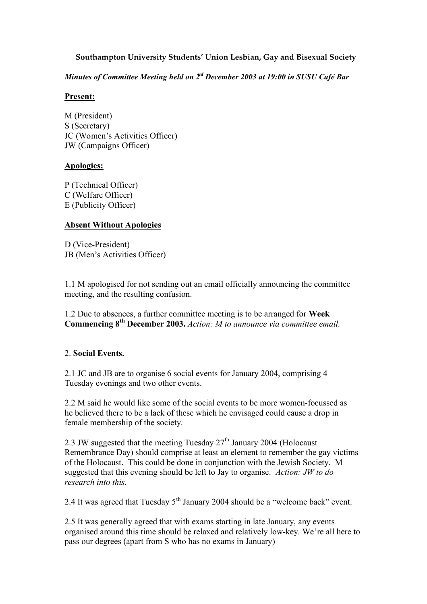#### **Southampton University Students' Union Lesbian, Gay and Bisexual Society**

*Minutes of Committee Meeting held on*  $2<sup>d</sup>$  *December 2003 at 19:00 in SUSU Café Bar* 

#### **Present:**

M (President) S (Secretary) JC (Women's Activities Officer) JW (Campaigns Officer)

# **Apologies:**

P (Technical Officer) C (Welfare Officer) E (Publicity Officer)

#### **Absent Without Apologies**

D (Vice-President) JB (Men's Activities Officer)

1.1 M apologised for not sending out an email officially announcing the committee meeting, and the resulting confusion.

1.2 Due to absences, a further committee meeting is to be arranged for **Week Commencing 8th December 2003.** *Action: M to announce via committee email.*

# 2. **Social Events.**

2.1 JC and JB are to organise 6 social events for January 2004, comprising 4 Tuesday evenings and two other events.

2.2 M said he would like some of the social events to be more women-focussed as he believed there to be a lack of these which he envisaged could cause a drop in female membership of the society.

2.3 JW suggested that the meeting Tuesday  $27<sup>th</sup>$  January 2004 (Holocaust Remembrance Day) should comprise at least an element to remember the gay victims of the Holocaust. This could be done in conjunction with the Jewish Society. M suggested that this evening should be left to Jay to organise. *Action: JW to do research into this.*

2.4 It was agreed that Tuesday  $5<sup>th</sup>$  January 2004 should be a "welcome back" event.

2.5 It was generally agreed that with exams starting in late January, any events organised around this time should be relaxed and relatively low-key. We're all here to pass our degrees (apart from S who has no exams in January)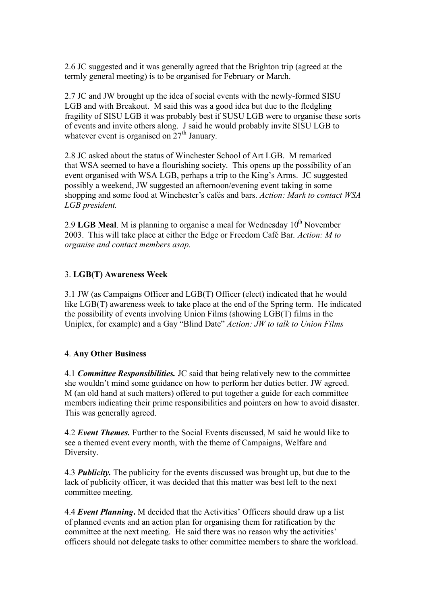2.6 JC suggested and it was generally agreed that the Brighton trip (agreed at the termly general meeting) is to be organised for February or March.

2.7 JC and JW brought up the idea of social events with the newly-formed SISU LGB and with Breakout. M said this was a good idea but due to the fledgling fragility of SISU LGB it was probably best if SUSU LGB were to organise these sorts of events and invite others along. J said he would probably invite SISU LGB to whatever event is organised on  $27<sup>th</sup>$  January.

2.8 JC asked about the status of Winchester School of Art LGB. M remarked that WSA seemed to have a flourishing society. This opens up the possibility of an event organised with WSA LGB, perhaps a trip to the King's Arms. JC suggested possibly a weekend, JW suggested an afternoon/evening event taking in some shopping and some food at Winchester's cafés and bars. *Action: Mark to contact WSA LGB president.*

2.9 **LGB Meal**. M is planning to organise a meal for Wednesday 10<sup>th</sup> November 2003. This will take place at either the Edge or Freedom Café Bar. *Action: M to organise and contact members asap.*

# 3. **LGB(T) Awareness Week**

3.1 JW (as Campaigns Officer and LGB(T) Officer (elect) indicated that he would like LGB(T) awareness week to take place at the end of the Spring term. He indicated the possibility of events involving Union Films (showing LGB(T) films in the Uniplex, for example) and a Gay "Blind Date" *Action: JW to talk to Union Films* 

#### 4. **Any Other Business**

4.1 *Committee Responsibilities.* JC said that being relatively new to the committee she wouldn't mind some guidance on how to perform her duties better. JW agreed. M (an old hand at such matters) offered to put together a guide for each committee members indicating their prime responsibilities and pointers on how to avoid disaster. This was generally agreed.

4.2 *Event Themes.* Further to the Social Events discussed, M said he would like to see a themed event every month, with the theme of Campaigns, Welfare and Diversity.

4.3 *Publicity.* The publicity for the events discussed was brought up, but due to the lack of publicity officer, it was decided that this matter was best left to the next committee meeting.

4.4 *Event Planning***.** M decided that the Activities' Officers should draw up a list of planned events and an action plan for organising them for ratification by the committee at the next meeting. He said there was no reason why the activities' officers should not delegate tasks to other committee members to share the workload.